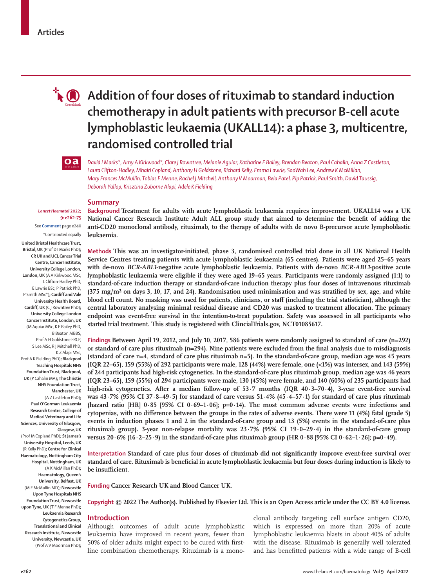

# **Addition of four doses of rituximab to standard induction chemotherapy in adult patients with precursor B-cell acute lymphoblastic leukaemia (UKALL14): a phase 3, multicentre, randomised controlled trial**

 $oa$ 

*David I Marks\*, Amy A Kirkwood\*, Clare J Rowntree, Melanie Aguiar, Katharine E Bailey, Brendan Beaton, Paul Cahalin, Anna Z Castleton, Laura Clifton-Hadley, Mhairi Copland, Anthony H Goldstone, Richard Kelly, Emma Lawrie, SooWah Lee, Andrew K McMillan, Mary Frances McMullin, Tobias F Menne, Rachel J Mitchell, Anthony V Moorman, Bela Patel, Pip Patrick, Paul Smith, David Taussig, Deborah Yallop, Krisztina Zuborne Alapi, Adele K Fielding*

## **Summary**

*Lancet Haematol* **2022; 9: e262–75**

See **Comment** page e240 \*Contributed equally

**United Bristol Healthcare Trust, Bristol, UK** (Prof D I Marks PhD)**; CR UK and UCL Cancer Trial Centre, Cancer Institute, University College London, London, UK** (A A Kirkwood MSc, L Clifton-Hadley PhD, E Lawrie BSc, P Patrick PhD, P Smith MSc\*)**; Cardiff and Vale University Health Board, Cardiff, UK** (C J Rowntree PhD)**; University College London Cancer Institute, London, UK**  (M Aguiar MSc, K E Bailey PhD, B Beaton MBBS, Prof A H Goldstone FRCP, S Lee MSc, R J Mitchell PhD, K Z Alapi MSc, Prof A K Fielding PhD)**; Blackpool Teaching Hospitals NHS Foundation Trust, Blackpool, UK** (P Cahalin MA)**; The Christie NHS Foundation Trust, Manchester, UK** (A Z Castleton PhD)**; Paul O'Gorman Leukaemia Research Centre, College of Medical Veterinary and Life Sciences, University of Glasgow, Glasgow, UK** 

(Prof M Copland PhD)**; St James's University Hospital, Leeds, UK**  (R Kelly PhD)**; Centre for Clinical Haematology, Nottingham City Hospital, Nottingham, UK** (A K McMillan PhD)**; Haematology, Queen's University, Belfast, UK**  (M F McMullin MD)**; Newcastle Upon Tyne Hospitals NHS Foundation Trust, Newcastle upon Tyne, UK** (T F Menne PhD)**; Leukaemia Research Cytogenetics Group, Translational and Clinical Research Institute, Newcastle University, Newcastle, UK** 

(Prof A V Moorman PhD)**;**

**Background Treatment for adults with acute lymphoblastic leukaemia requires improvement. UKALL14 was a UK National Cancer Research Institute Adult ALL group study that aimed to determine the benefit of adding the anti-CD20 monoclonal antibody, rituximab, to the therapy of adults with de novo B-precursor acute lymphoblastic leukaemia.**

**Methods This was an investigator-initiated, phase 3, randomised controlled trial done in all UK National Health Service Centres treating patients with acute lymphoblastic leukaemia (65 centres). Patients were aged 25–65 years with de-novo** *BCR-ABL1***-negative acute lymphoblastic leukaemia. Patients with de-novo** *BCR-ABL1***-positive acute lymphoblastic leukaemia were eligible if they were aged 19–65 years. Participants were randomly assigned (1:1) to standard-of-care induction therapy or standard-of-care induction therapy plus four doses of intravenous rituximab (375 mg/m² on days 3, 10, 17, and 24). Randomisation used minimisation and was stratified by sex, age, and white blood cell count. No masking was used for patients, clinicians, or staff (including the trial statistician), although the central laboratory analysing minimal residual disease and CD20 was masked to treatment allocation. The primary endpoint was event-free survival in the intention-to-treat population. Safety was assessed in all participants who started trial treatment. This study is registered with ClincialTrials.gov, NCT01085617.**

**Findings Between April 19, 2012, and July 10, 2017, 586 patients were randomly assigned to standard of care (n=292) or standard of care plus rituximab (n=294). Nine patients were excluded from the final analysis due to misdiagnosis (standard of care n=4, standard of care plus rituximab n=5). In the standard-of-care group, median age was 45 years (IQR 22–65), 159 (55%) of 292 participants were male, 128 (44%) were female, one (<1%) was intersex, and 143 (59%) of 244 participants had high-risk cytogenetics. In the standard-of-care plus rituximab group, median age was 46 years (IQR 23–65), 159 (55%) of 294 participants were male, 130 (45%) were female, and 140 (60%) of 235 participants had high-risk cytogenetics. After a median follow-up of 53·7 months (IQR 40·3–70·4), 3-year event-free survival was 43·7% (95% CI 37·8–49·5) for standard of care versus 51·4% (45·4–57·1) for standard of care plus rituximab (hazard ratio [HR] 0·85 [95% CI 0·69–1·06]; p=0·14). The most common adverse events were infections and cytopenias, with no difference between the groups in the rates of adverse events. There were 11 (4%) fatal (grade 5) events in induction phases 1 and 2 in the standard-of-care group and 13 (5%) events in the standard-of-care plus rituximab group). 3-year non-relapse mortality was 23·7% (95% CI 19·0–29·4) in the standard-of-care group versus 20·6% (16·2–25·9) in the standard-of-care plus rituximab group (HR 0·88 [95% CI 0·62–1·26]; p=0·49).**

**Interpretation Standard of care plus four doses of rituximab did not significantly improve event-free survival over standard of care. Rituximab is beneficial in acute lymphoblastic leukaemia but four doses during induction is likely to be insufficient.**

**Funding Cancer Research UK and Blood Cancer UK.**

**Copyright © 2022 The Author(s). Published by Elsevier Ltd. This is an Open Access article under the CC BY 4.0 license.**

# **Introduction**

Although outcomes of adult acute lymphoblastic leukaemia have improved in recent years, fewer than 50% of older adults might expect to be cured with firstline combination chemotherapy. Rituximab is a mono-

clonal antibody targeting cell surface antigen CD20, which is expressed on more than 20% of acute lymphoblastic leukaemia blasts in about 40% of adults with the disease. Rituximab is generally well tolerated and has benefitted patients with a wide range of B-cell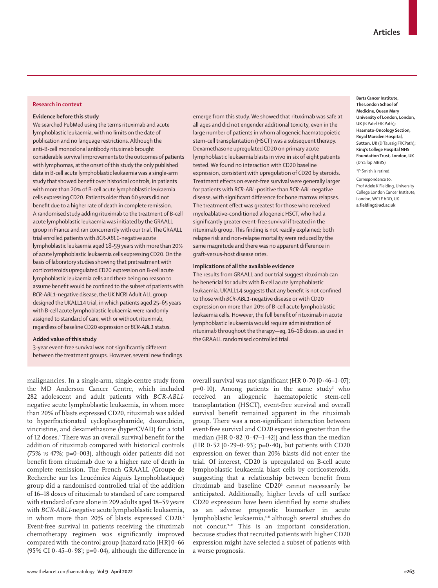# **Research in context**

## **Evidence before this study**

We searched PubMed using the terms rituximab and acute lymphoblastic leukaemia, with no limits on the date of publication and no language restrictions. Although the anti-B-cell monoclonal antibody rituximab brought considerable survival improvements to the outcomes of patients with lymphomas, at the onset of this study the only published data in B-cell acute lymphoblastic leukaemia was a single-arm study that showed benefit over historical controls, in patients with more than 20% of B-cell acute lymphoblastic leukaemia cells expressing CD20. Patients older than 60 years did not benefit due to a higher rate of death in complete remission. A randomised study adding rituximab to the treatment of B-cell acute lymphoblastic leukaemia was initiated by the GRAALL group in France and ran concurrently with our trial. The GRAALL trial enrolled patients with *BCR-ABL1*-negative acute lymphoblastic leukaemia aged 18–59 years with more than 20% of acute lymphoblastic leukaemia cells expressing CD20. On the basis of laboratory studies showing that pretreatment with corticosteroids upregulated CD20 expression on B-cell acute lymphoblastic leukaemia cells and there being no reason to assume benefit would be confined to the subset of patients with *BCR-ABL1*-negative disease, the UK NCRI Adult ALL group designed the UKALL14 trial, in which patients aged 25–65 years with B-cell acute lymphoblastic leukaemia were randomly assigned to standard of care, with or without rituximab, regardless of baseline CD20 expression or *BCR-ABL1* status.

## **Added value of this study**

3-year event-free survival was not significantly different between the treatment groups. However, several new findings emerge from this study. We showed that rituximab was safe at all ages and did not engender additional toxicity, even in the large number of patients in whom allogeneic haematopoietic stem-cell transplantation (HSCT) was a subsequent therapy. Dexamethasone upregulated CD20 on primary acute lymphoblastic leukaemia blasts in vivo in six of eight patients tested. We found no interaction with CD20 baseline expression, consistent with upregulation of CD20 by steroids. Treatment effects on event-free survival were generally larger for patients with *BCR-ABL*-positive than *BCR-ABL*-negative disease, with significant difference for bone marrow relapses. The treatment effect was greatest for those who received myeloablative-conditioned allogeneic HSCT, who had a significantly greater event-free survival if treated in the rituximab group. This finding is not readily explained; both relapse risk and non-relapse mortality were reduced by the same magnitude and there was no apparent difference in graft-versus-host disease rates.

# **Implications of all the available evidence**

The results from GRAALL and our trial suggest rituximab can be beneficial for adults with B-cell acute lymphoblastic leukaemia. UKALL14 suggests that any benefit is not confined to those with *BCR-ABL1*-negative disease or with CD20 expression on more than 20% of B-cell acute lymphoblastic leukaemia cells. However, the full benefit of rituximab in acute lymphoblastic leukaemia would require administration of rituximab throughout the therapy—eg, 16–18 doses, as used in the GRAALL randomised controlled trial.

malignancies. In a single-arm, single-centre study from the MD Anderson Cancer Centre, which included 282 adolescent and adult patients with *BCR-ABL1* negative acute lymphoblastic leukaemia, in whom more than 20% of blasts expressed CD20, rituximab was added to hyperfractionated cyclophosphamide, doxorubicin, vincristine, and dexamethasone (hyperCVAD) for a total of 12 doses.<sup>1</sup> There was an overall survival benefit for the addition of rituximab compared with historical controls (75% *vs* 47%; p=0·003), although older patients did not benefit from rituximab due to a higher rate of death in complete remission. The French GRAALL (Groupe de Recherche sur les Leucémies Aiguës Lymphoblastique) group did a randomised controlled trial of the addition of 16–18 doses of rituximab to standard of care compared with standard of care alone in 209 adults aged 18–59 years with *BCR-ABL1*-negative acute lymphoblastic leukaemia, in whom more than 20% of blasts expressed CD20.<sup>2</sup> Event-free survival in patients receiving the rituximab chemotherapy regimen was significantly improved compared with the control group (hazard ratio [HR] 0·66 (95% CI  $0.45-0.98$ ); p=0.04), although the difference in

overall survival was not significant (HR 0·70 [0·46–1·07];  $p=0.10$ ). Among patients in the same study<sup>2</sup> who received an allogeneic haematopoietic stem-cell transplantation (HSCT), event-free survival and overall survival benefit remained apparent in the rituximab group. There was a non-significant interaction between event-free survival and CD20 expression greater than the median (HR  $0.82$  [ $0.47-1.42$ ]) and less than the median (HR  $0.52$  [ $0.29-0.93$ ]; p= $0.40$ ), but patients with CD20 expression on fewer than 20% blasts did not enter the trial. Of interest, CD20 is upregulated on B-cell acute lymphoblastic leukaemia blast cells by corticosteroids, suggesting that a relationship between benefit from rituximab and baseline CD20<sup>3</sup> cannot necessarily be anticipated. Additionally, higher levels of cell surface CD20 expression have been identified by some studies as an adverse prognostic biomarker in acute lymphoblastic leukaemia,<sup>48</sup> although several studies do not concur.9–11 This is an important consideration, because studies that recruited patients with higher CD20 expression might have selected a subset of patients with a worse prognosis.

**Barts Cancer Institute, The London School of Medicine, Queen Mary University of London, London, UK** (B Patel FRCPath)**; Haemato-Oncology Section, Royal Marsden Hospital, Sutton, UK** (D Taussig FRCPath)**; King's College Hospital NHS Foundation Trust, London, UK** (D Yallop MBBS)

\*P Smith is retired

Correspondence to: Prof Adele K Fielding, University College London Cancer Institute, London, WC1E 6DD, UK **a.fielding@ucl.ac.uk**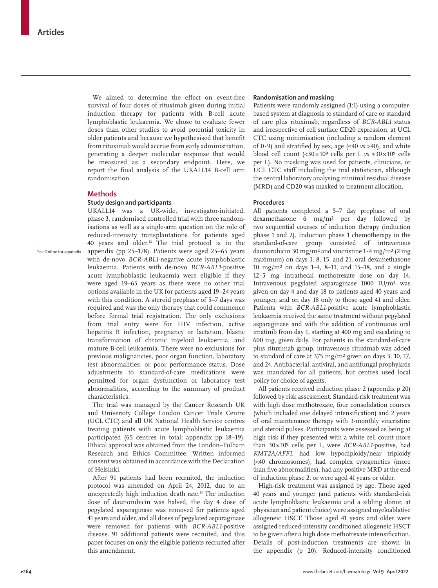We aimed to determine the effect on event-free survival of four doses of rituximab given during initial induction therapy for patients with B-cell acute lymphoblastic leukaemia. We chose to evaluate fewer doses than other studies to avoid potential toxicity in older patients and because we hypothesised that benefit from rituximab would accrue from early administration, generating a deeper molecular response that would be measured as a secondary endpoint. Here, we report the final analysis of the UKALL14 B-cell arm randomisation.

# **Methods**

# **Study design and participants**

UKALL14 was a UK-wide, investigator-initiated, phase 3, randomised controlled trial with three randomisations as well as a single-arm question on the role of reduced-intensity transplantations for patients aged 40 years and older.12 The trial protocol is in the appendix (pp 25–178). Patients were aged 25–65 years with de-novo *BCR-ABL1*-negative acute lymphoblastic leukaemia. Patients with de-novo *BCR-ABL1*-positive acute lymphoblastic leukaemia were eligible if they were aged 19–65 years as there were no other trial options available in the UK for patients aged 19–24 years with this condition. A steroid prephase of 5–7 days was required and was the only therapy that could commence before formal trial registration. The only exclusions from trial entry were for HIV infection, active hepatitis B infection, pregnancy or lactation**,** blastic transformation of chronic myeloid leukaemia, and mature B-cell leukaemia. There were no exclusions for previous malignancies, poor organ function, laboratory test abnormalities, or poor performance status. Dose adjustments to standard-of-care medications were permitted for organ dysfunction or laboratory test abnormalities, according to the summary of product characteristics.

The trial was managed by the Cancer Research UK and University College London Cancer Trials Centre (UCL CTC) and all UK National Health Service centres treating patients with acute lymphoblastic leukaemia participated (65 centres in total; appendix pp 18–19). Ethical approval was obtained from the London–Fulham Research and Ethics Committee. Written informed consent was obtained in accordance with the Declaration of Helsinki.

After 91 patients had been recruited, the induction protocol was amended on April 24, 2012, due to an unexpectedly high induction death rate.13 The induction dose of daunorubicin was halved, the day 4 dose of pegylated asparaginase was removed for patients aged 41 years and older, and all doses of pegylated asparaginase were removed for patients with *BCR-ABL1*-positive disease. 91 additional patients were recruited, and this paper focuses on only the eligible patients recruited after this amendment.

# **Randomisation and masking**

Patients were randomly assigned (1:1) using a computerbased system at diagnosis to standard of care or standard of care plus rituximab, regardless of *BCR-ABL1* status and irrespective of cell surface CD20 expression, at UCL CTC using minimisation (including a random element of 0·9) and stratified by sex, age (≤40 *vs* >40), and white blood cell count  $\langle$ <30×10<sup>9</sup> cells per L *vs*  $\geq$ 30×10<sup>9</sup> cells per L). No masking was used for patients, clinicians, or UCL CTC staff including the trial statistician, although the central laboratory analysing minimal residual disease (MRD) and CD20 was masked to treatment allocation.

# **Procedures**

All patients completed a 5–7 day prephase of oral dexamethasone 6 mg/m² per day followed by two sequential courses of induction therapy (induction phase 1 and 2). Induction phase 1 chemotherapy in the standard-of-care group consisted of intravenous daunorubicin 30 mg/m² and vincristine 1·4 mg/m² (2 mg maximum) on days 1, 8, 15, and 21, oral dexamethasone 10 mg/m² on days 1–4, 8–11, and 15–18, and a single 12·5 mg intrathecal methotrexate dose on day 14. Intravenous pegylated asparaginase 1000 IU/m² was given on day 4 and day 18 to patients aged 40 years and younger, and on day 18 only to those aged 41 and older. Patients with *BCR-ABL1*-positive acute lymphoblastic leukaemia received the same treatment without pegylated asparaginase and with the addition of continuous oral imatinib from day 1, starting at 400 mg and escalating to 600 mg, given daily. For patients in the standard-of-care plus rituximab group, intravenous rituximab was added to standard of care at 375 mg/m² given on days 3, 10, 17, and 24. Antibacterial, antiviral, and antifungal prophylaxis was mandated for all patients, but centres used local policy for choice of agents.

All patients received induction phase 2 (appendix p 20) followed by risk assessment. Standard-risk treatment was with high dose methotrexate, four consolidation courses (which included one delayed intensification) and 2 years of oral maintenance therapy with 3-monthly vincristine and steroid pulses. Participants were assessed as being at high risk if they presented with a white cell count more than 30×10⁹ cells per L, were *BCR-ABL1*-positive*,* had *KMT2A/AFF1*, had low hypodiploidy/near triploidy (<40 chromosomes), had complex cytogenetics (more than five abnormalities), had any positive MRD at the end of induction phase 2, or were aged 41 years or older.

High-risk treatment was assigned by age. Those aged 40 years and younger (and patients with standard-risk acute lymphoblastic leukaemia and a sibling donor, at physician and patient choice) were assigned myeloablative allogeneic HSCT. Those aged 41 years and older were assigned reduced-intensity conditioned allogeneic HSCT to be given after a high dose methotrexate intensification. Details of post-induction treatments are shown in the appendix (p 20). Reduced-intensity conditioned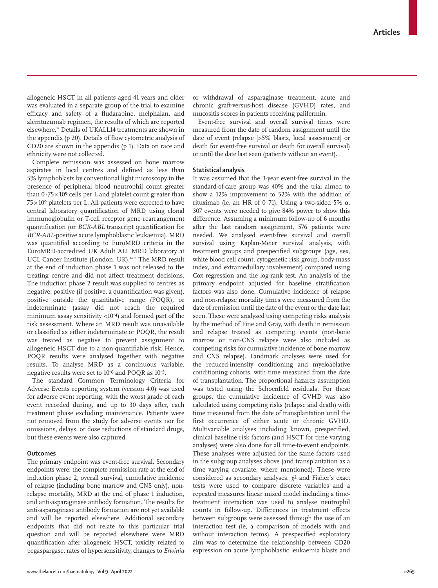allogeneic HSCT in all patients aged 41 years and older was evaluated in a separate group of the trial to examine efficacy and safety of a fludarabine, melphalan, and alemtuzumab regimen, the results of which are reported elsewhere.12 Details of UKALL14 treatments are shown in the appendix (p 20). Details of flow cytometric analysis of CD20 are shown in the appendix (p 1). Data on race and ethnicity were not collected.

Complete remission was assessed on bone marrow aspirates in local centres and defined as less than 5% lymphoblasts by conventional light microscopy in the presence of peripheral blood neutrophil count greater than  $0.75 \times 10^9$  cells per L and platelet count greater than  $75 \times 10^9$  platelets per L. All patients were expected to have central laboratory quantification of MRD using clonal immunoglobulin or T-cell receptor gene rearrangement quantification (or *BCR-ABL* transcript quantification for *BCR-ABL*-positive acute lymphoblastic leukaemia). MRD was quanitifed according to EuroMRD criteria in the EuroMRD-accredited UK Adult ALL MRD laboratory at UCL Cancer Institute (London, UK).<sup>14,15</sup> The MRD result at the end of induction phase 1 was not released to the treating centre and did not affect treatment decisions. The induction phase 2 result was supplied to centres as negative, positive (if positive, a quantification was given), positive outside the quantitative range (POQR), or indeterminate (assay did not reach the required minimum assay sensitivity <10– ⁴) and formed part of the risk assessment. Where an MRD result was unavailable or classified as either indeterminate or POQR, the result was treated as negative to prevent assignment to allogeneic HSCT due to a non-quantifiable risk. Hence, POQR results were analysed together with negative results. To analyse MRD as a continuous variable, negative results were set to 10<sup>-6</sup> and POQR as 10<sup>-5</sup>.

The standard Common Terminology Criteria for Adverse Events reporting system (version 4.0) was used for adverse event reporting, with the worst grade of each event recorded during, and up to 30 days after, each treatment phase excluding maintenance. Patients were not removed from the study for adverse events nor for omissions, delays, or dose reductions of standard drugs, but these events were also captured.

# **Outcomes**

The primary endpoint was event-free survival. Secondary endpoints were: the complete remission rate at the end of induction phase 2, overall survival, cumulative incidence of relapse (including bone marrow and CNS only), nonrelapse mortality, MRD at the end of phase 1 induction, and anti-asparaginase antibody formation. The results for anti-asparaginase antibody formation are not yet available and will be reported elsewhere. Additional secondary endpoints that did not relate to this particular trial question and will be reported elsewhere were MRD quantification after allogeneic HSCT, toxicity related to pegaspargase, rates of hypersensitivity, changes to *Erwinia* or withdrawal of asparaginase treatment, acute and chronic graft-versus-host disease (GVHD) rates, and mucositis scores in patients receiving palifermin.

Event-free survival and overall survival times were measured from the date of random assignment until the date of event (relapse [>5% blasts, local assessment] or death for event-free survival or death for overall survival) or until the date last seen (patients without an event).

# **Statistical analysis**

It was assumed that the 3-year event-free survival in the standard-of-care group was 40% and the trial aimed to show a 12% improvement to 52% with the addition of rituximab (ie, an HR of 0·71). Using a two-sided 5% α, 307 events were needed to give 84% power to show this difference. Assuming a minimum follow-up of 6 months after the last random assignment, 576 patients were needed. We analysed event-free survival and overall survival using Kaplan-Meier survival analysis, with treatment groups and prespecified subgroups (age, sex, white blood cell count, cytogenetic risk group, body-mass index, and extramedullary involvement) compared using Cox regression and the log-rank test. An analysis of the primary endpoint adjusted for baseline stratification factors was also done. Cumulative incidence of relapse and non-relapse mortality times were measured from the date of remission until the date of the event or the date last seen. These were analysed using competing risks analysis by the method of Fine and Gray, with death in remission and relapse treated as competing events (non-bone marrow or non-CNS relapse were also included as competing risks for cumulative incidence of bone marrow and CNS relapse). Landmark analyses were used for the reduced-intensity conditioning and myeloablative conditioning cohorts, with time measured from the date of transplantation. The proportional hazards assumption was tested using the Schoenfeld residuals. For these groups, the cumulative incidence of GVHD was also calculated using competing risks (relapse and death) with time measured from the date of transplantation until the first occurrence of either acute or chronic GVHD. Multivariable analyses including known, prespecified, clinical baseline risk factors (and HSCT for time varying analyses) were also done for all time-to-event endpoints. These analyses were adjusted for the same factors used in the subgroup analyses above (and transplantation as a time varying covariate, where mentioned). These were considered as secondary analyses.  $\chi^2$  and Fisher's exact tests were used to compare discrete variables and a repeated measures linear mixed model including a timetreatment interaction was used to analyse neutrophil counts in follow-up. Differences in treatment effects between subgroups were assessed through the use of an interaction test (ie, a comparison of models with and without interaction terms). A prespecified exploratory aim was to determine the relationship between CD20 expression on acute lymphoblastic leukaemia blasts and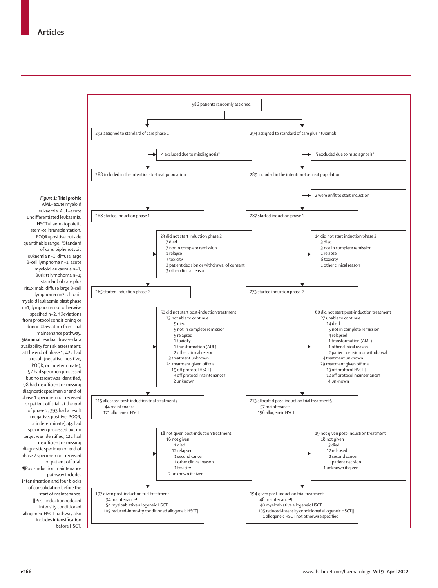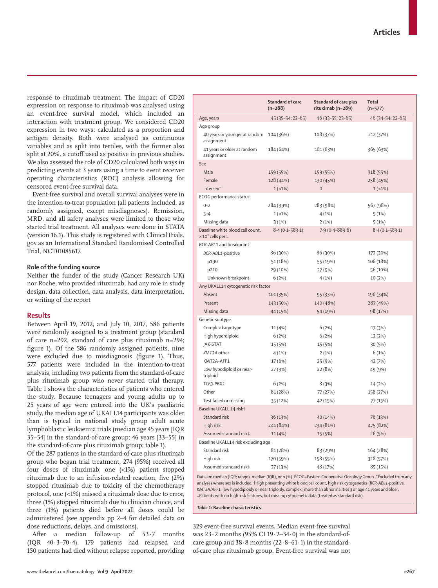response to rituximab treatment. The impact of CD20 expression on response to rituximab was analysed using an event-free survival model, which included an interaction with treatment group. We considered CD20 expression in two ways: calculated as a proportion and antigen density. Both were analysed as continuous variables and as split into tertiles, with the former also split at 20%, a cutoff used as positive in previous studies. We also assessed the role of CD20 calculated both ways in predicting events at 3 years using a time to event receiver operating characteristics (ROC) analysis allowing for censored event-free survival data.

Event-free survival and overall survival analyses were in the intention-to-treat population (all patients included, as randomly assigned, except misdiagnoses). Remission, MRD, and all safety analyses were limited to those who started trial treatment. All analyses were done in STATA (version 16.1). This study is registered with ClinicalTrials. gov as an International Standard Randomised Controlled Trial, NCT01085617.

# **Role of the funding source**

Neither the funder of the study (Cancer Research UK) nor Roche, who provided rituximab, had any role in study design, data collection, data analysis, data interpretation, or writing of the report

# **Results**

Between April 19, 2012, and July 10, 2017, 586 patients were randomly assigned to a treatment group (standard of care n=292, standard of care plus rituximab n=294; figure 1). Of the 586 randomly assigned patients, nine were excluded due to misdiagnosis (figure 1). Thus, 577 patients were included in the intention-to-treat analysis, including two patients from the standard-of-care plus rituximab group who never started trial therapy. Table 1 shows the characteristics of patients who entered the study. Because teenagers and young adults up to 25 years of age were entered into the UK's paediatric study, the median age of UKALL14 participants was older than is typical in national study group adult acute lymphoblastic leukaemia trials (median age 45 years [IQR 35–54] in the standard-of-care group; 46 years [33–55] in the standard-of-care plus rituximab group; table 1).

Of the 287 patients in the standard-of-care plus rituximab group who began trial treatment, 274 (95%) received all four doses of rituximab; one (<1%) patient stopped rituximab due to an infusion-related reaction, five (2%) stopped rituximab due to toxicity of the chemotherapy protocol, one (<1%) missed a rituximab dose due to error, three (1%) stopped rituximab due to clinician choice, and three (1%) patients died before all doses could be administered (see appendix pp 2–4 for detailed data on dose reductions, delays, and omissions).

After a median follow-up of 53·7 months (IQR 40·3–70·4), 179 patients had relapsed and 150 patients had died without relapse reported, providing

|                                                               | <b>Standard of care</b><br>$(n=288)$ | <b>Standard of care plus</b><br>rituximab (n=289) | <b>Total</b><br>$(n=577)$ |
|---------------------------------------------------------------|--------------------------------------|---------------------------------------------------|---------------------------|
| Age, years                                                    | 45 (35-54; 22-65)                    | 46 (33-55; 23-65)                                 | 46 (34-54; 22-65)         |
| Age group                                                     |                                      |                                                   |                           |
| 40 years or younger at random<br>assignment                   | 104 (36%)                            | 108 (37%)                                         | 212 (37%)                 |
| 41 years or older at random<br>assignment                     | 184 (64%)                            | 181 (63%)                                         | 365 (63%)                 |
| Sex                                                           |                                      |                                                   |                           |
| Male                                                          | 159 (55%)                            | 159 (55%)                                         | 318 (55%)                 |
| Female                                                        | 128 (44%)                            | 130 (45%)                                         | 258 (45%)                 |
| Intersex*                                                     | $1(-1%)$                             | $\overline{0}$                                    | $1(-1%)$                  |
| ECOG performance status                                       |                                      |                                                   |                           |
| $0 - 2$                                                       | 284 (99%)                            | 283 (98%)                                         | 567 (98%)                 |
| $3 - 4$                                                       | $1(1\%)$                             | 4(1%)                                             | 5(1%)                     |
| Missing data                                                  | 3(1%)                                | 2(1%)                                             | 5(1%)                     |
| Baseline white blood cell count,<br>$\times 10^9$ cells per L | $8.4(0.1 - 583.1)$                   | $7.9(0.4 - 889.6)$                                | $8.4(0.1 - 583.1)$        |
| BCR-ABL1 and breakpoint                                       |                                      |                                                   |                           |
| BCR-ABL1-positive                                             | 86 (30%)                             | 86 (30%)                                          | 172 (30%)                 |
| p190                                                          | 51 (18%)                             | 55 (19%)                                          | 106 (18%)                 |
| p210                                                          | 29 (10%)                             | 27 (9%)                                           | 56 (10%)                  |
| Unknown breakpoint                                            | 6(2%)                                | 4(1%)                                             | 10 (2%)                   |
| Any UKALL14 cytogenetic risk factor                           |                                      |                                                   |                           |
| Absent                                                        | 101 (35%)                            | 95 (33%)                                          | 196 (34%)                 |
| Present                                                       | 143 (50%)                            | 140 (48%)                                         | 283 (49%)                 |
| Missing data                                                  | 44 (15%)                             | 54 (19%)                                          | 98 (17%)                  |
| Genetic subtype                                               |                                      |                                                   |                           |
| Complex karyotype                                             | 11 (4%)                              | 6(2%)                                             | 17 (3%)                   |
| High hyperdiploid                                             | 6(2%)                                | 6(2%)                                             | 12 (2%)                   |
| JAK-STAT                                                      | 15 (5%)                              | 15 (5%)                                           | 30 (5%)                   |
| KMT2A other                                                   | 4(1%)                                | 2(1%)                                             | 6(1%)                     |
| KMT2A-AFF1                                                    | 17 (6%)                              | 25 (9%)                                           | 42 (7%)                   |
| Low hypodiploid or near-<br>triploid                          | 27 (9%)                              | 22 (8%)                                           | 49 (9%)                   |
| TCF3-PBX1                                                     | 6(2%)                                | 8(3%)                                             | 14 (2%)                   |
| Other                                                         | 81 (28%)                             | 77 (27%)                                          | 158 (27%)                 |
| Test failed or missing                                        | 35 (12%)                             | 42 (15%)                                          | 77 (13%)                  |
| Baseline UKALL 14 riskt                                       |                                      |                                                   |                           |
| Standard risk                                                 | 36 (13%)                             | 40 (14%)                                          | 76 (13%)                  |
| High risk                                                     | 241 (84%)                            | 234 (81%)                                         | 475 (82%)                 |
| Assumed standard risk‡                                        | 11 (4%)                              | 15 (5%)                                           | 26(5%)                    |
| Baseline UKALL14 risk excluding age                           |                                      |                                                   |                           |
| Standard risk                                                 | 81 (28%)                             | 83 (29%)                                          | 164 (28%)                 |
| High risk                                                     | 170 (59%)                            | 158 (55%)                                         | 328 (57%)                 |
| Assumed standard risk‡                                        | 37 (13%)                             | 48 (17%)                                          | 85 (15%)                  |

Data are median (IQR; range), median (IQR), or n (%). ECOG=Eastern Cooperative Oncology Group. \*Excluded from any analyses where sex is included. †High presenting white blood cell count, high risk cytogenetics (*BCR-ABL1*-positive, *KMT2A/AFF1*, low hypodiploidy or near triploidy, complex [more than abnormalities]) or age 41 years and older. ‡Patients with no high-risk features, but missing cytogenetic data (treated as standard risk).

*Table 1:* **Baseline characteristics**

329 event-free survival events. Median event-free survival was  $23 \cdot 2$  months (95% CI 19 $\cdot$ 2–34 $\cdot$ 0) in the standard-ofcare group and  $38.8$  months  $(22.8-61.1)$  in the standardof-care plus rituximab group. Event-free survival was not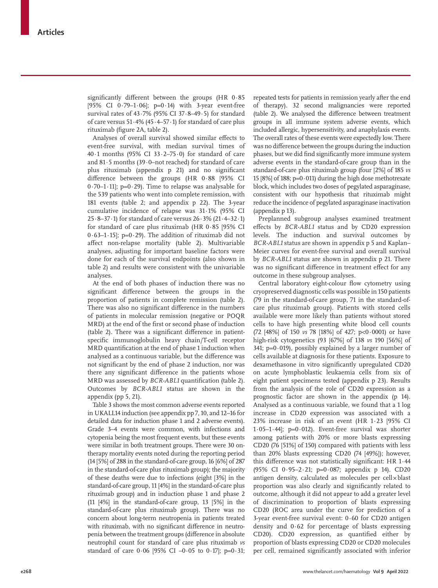significantly different between the groups (HR 0·85 [95% CI 0·79-1·06]; p=0·14) with 3-year event-free survival rates of 43·7% (95% CI 37·8–49·5) for standard of care versus 51·4% (45·4–57·1) for standard of care plus rituximab (figure 2A, table 2).

Analyses of overall survival showed similar effects to event-free survival, with median survival times of 40 $\cdot$ 1 months (95% CI 33 $\cdot$ 2-75 $\cdot$ 0) for standard of care and 81·5 months (39·0–not reached) for standard of care plus rituximab (appendix p 21) and no significant difference between the groups (HR 0·88 [95% CI  $0.70-1.11$ ; p= $0.29$ ). Time to relapse was analysable for the 539 patients who went into complete remission, with 181 events (table 2; and appendix p 22). The 3-year cumulative incidence of relapse was 31·1% (95% CI 25·8–37·1) for standard of care versus 26·3% (21·4–32·1) for standard of care plus rituximab (HR 0·85 [95% CI  $0.63-1.15$ ; p= $0.29$ ). The addition of rituximab did not affect non-relapse mortality (table 2). Multivariable analyses, adjusting for important baseline factors were done for each of the survival endpoints (also shown in table 2) and results were consistent with the univariable analyses.

At the end of both phases of induction there was no significant difference between the groups in the proportion of patients in complete remission (table 2). There was also no significant difference in the numbers of patients in molecular remission (negative or POQR MRD) at the end of the first or second phase of induction (table 2). There was a significant difference in patientspecific immunoglobulin heavy chain/T-cell receptor MRD quantification at the end of phase 1 induction when analysed as a continuous variable, but the difference was not significant by the end of phase 2 induction, nor was there any significant difference in the patients whose MRD was assessed by *BCR-ABL1* quantification (table 2). Outcomes by *BCR-ABL1* status are shown in the appendix (pp 5, 21).

Table 3 shows the most common adverse events reported in UKALL14 induction (see appendix pp 7, 10, and 12–16 for detailed data for induction phase 1 and 2 adverse events). Grade 3–4 events were common, with infections and cytopenia being the most frequent events, but these events were similar in both treatment groups. There were 30 ontherapy mortality events noted during the reporting period (14 [5%] of 288 in the standard-of-care group, 16 [6%] of 287 in the standard-of-care plus rituximab group); the majority of these deaths were due to infections (eight [3%] in the standard-of-care group, 11 [4%] in the standard-of-care plus rituximab group) and in induction phase 1 and phase 2 (11 [4%] in the standard-of-care group, 13 [5%] in the standard-of-care plus rituximab group). There was no concern about long-term neutropenia in patients treated with rituximab, with no significant difference in neutropenia between the treatment groups (difference in absolute neutrophil count for standard of care plus rituximab *vs* standard of care  $0.06$  [95% CI  $-0.05$  to  $0.17$ ]; p=0.31; repeated tests for patients in remission yearly after the end of therapy). 32 second malignancies were reported (table 2). We analysed the difference between treatment groups in all immune system adverse events, which included allergic, hypersensitivity, and anaphylaxis events. The overall rates of these events were expectedly low. There was no difference between the groups during the induction phases, but we did find significantly more immune system adverse events in the standard-of-care group than in the standard-of-care plus rituximab group (four [2%] of 185 *vs* 15 [8%] of 188;  $p=0.011$ ) during the high dose methotrexate block, which includes two doses of pegylated asparaginase, consistent with our hypothesis that rituximab might reduce the incidence of pegylated asparaginase inactivation (appendix p 13).

Preplanned subgroup analyses examined treatment effects by *BCR-ABL1* status and by CD20 expression levels. The induction and survival outcomes by *BCR-ABL1* status are shown in appendix p 5 and Kaplan– Meier curves for event-free survival and overall survival by *BCR-ABL1* status are shown in appendix p 21. There was no significant difference in treatment effect for any outcome in these subgroup analyses.

Central laboratory eight-colour flow cytometry using cryopreserved diagnostic cells was possible in 150 patients (79 in the standard-of-care group, 71 in the standard-ofcare plus rituximab group). Patients with stored cells available were more likely than patients without stored cells to have high presenting white blood cell counts (72 [48%] of 150 *vs* 78 [18%] of 427; p<0·0001) or have high-risk cytogenetics (93 [67%] of 138 *vs* 190 [56%] of 341;  $p=0.019$ ), possibly explained by a larger number of cells available at diagnosis for these patients. Exposure to dexamethasone in vitro significantly upregulated CD20 on acute lymphoblastic leukaemia cells from six of eight patient specimens tested (appendix p 23). Results from the analysis of the role of CD20 expression as a prognostic factor are shown in the appendix (p 14). Analysed as a continuous variable, we found that a 1 log increase in CD20 expression was associated with a 23% increase in risk of an event (HR 1·23 [95% CI 1·05–1·44]; p=0·012). Event-free survival was shorter among patients with 20% or more blasts expressing CD20 (76 [51%] of 150) compared with patients with less than 20% blasts expressing CD20 (74 [49%]); however, this difference was not statistically significant: HR 1·44 (95% CI 0·95–2·21; p=0·087; appendix p 14). CD20 antigen density, calculated as molecules per cell×blast proportion was also clearly and significantly related to outcome, although it did not appear to add a greater level of discrimination to proportion of blasts expressing CD20 (ROC area under the curve for prediction of a 3-year event-free survival event: 0·60 for CD20 antigen density and 0·62 for percentage of blasts expressing CD20). CD20 expression, as quantified either by proportion of blasts expressing CD20 or CD20 molecules per cell, remained significantly associated with inferior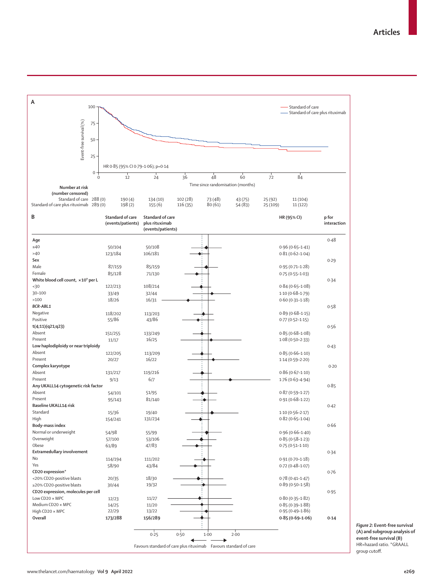**Articles**



*Figure 2:* **Event-free survival (A) and subgroup analysis of event-free survival (B)** HR=hazard ratio. \*GRAALL group cutoff.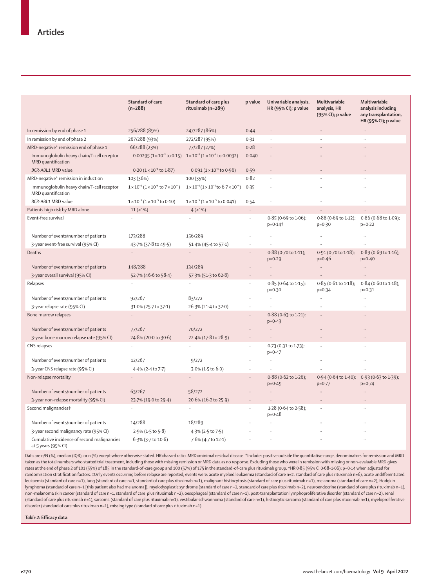|                                                                    | <b>Standard of care</b><br>$(n=288)$                            | <b>Standard of care plus</b><br>rituximab (n=289)                                                      | p value              | Univariable analysis,<br>HR (95% CI); p value | Multivariable<br>analysis, HR<br>(95% CI); p value | Multivariable<br>analysis including<br>any transplantation,<br>HR (95% CI); p value |
|--------------------------------------------------------------------|-----------------------------------------------------------------|--------------------------------------------------------------------------------------------------------|----------------------|-----------------------------------------------|----------------------------------------------------|-------------------------------------------------------------------------------------|
| In remission by end of phase 1                                     | 256/288 (89%)                                                   | 247/287 (86%)                                                                                          | 0.44                 | $\ldots$                                      | $\ddotsc$                                          | $\ldots$                                                                            |
| In remission by end of phase 2                                     | 267/288 (93%)                                                   | 272/287 (95%)                                                                                          | 0.31                 | $\ldots$                                      | $\ddot{\phantom{a}}$                               | $\ddot{\phantom{a}}$                                                                |
| MRD-negative* remission end of phase 1                             | 66/288 (23%)                                                    | 77/287 (27%)                                                                                           | 0.28                 | $\ddotsc$                                     | $\ddot{\phantom{a}}$                               |                                                                                     |
| Immunoqlobulin heavy chain/T-cell receptor<br>MRD quantification   |                                                                 | $0.00295 (1 \times 10^{-5} \text{ to } 0.15)$ $1 \times 10^{-5} (1 \times 10^{-6} \text{ to } 0.0032)$ | 0.040                |                                               |                                                    |                                                                                     |
| <b>BCR-ABL1 MRD value</b>                                          | $0.20$ $(1 \times 10^{-5}$ to $1.87)$                           | $0.091 (1 \times 10^{-5} \text{ to } 0.96)$                                                            | 0.59                 | $\ddotsc$                                     |                                                    | $\dddot{\phantom{0}}$                                                               |
| MRD-negative* remission in induction                               | 103 (36%)                                                       | 100 (35%)                                                                                              | 0.82                 | $\ddots$                                      | $\ddotsc$                                          | $\ddot{\phantom{a}}$                                                                |
| Immunoqlobulin heavy chain/T-cell receptor<br>MRD quantification   | $1 \times 10^{-5}$ ( $1 \times 10^{-6}$ to $7 \times 10^{-4}$ ) | $1 \times 10^{-6} (1 \times 10^{-6} \text{ to } 6.7 \times 10^{-4})$                                   | 0.35                 | $\ddotsc$                                     | $\ddotsc$                                          |                                                                                     |
| <b>BCR-ABL1 MRD value</b>                                          | $1 \times 10^{-5}$ ( $1 \times 10^{-5}$ to 0.10)                | $1 \times 10^{-5}$ ( $1 \times 10^{-5}$ to 0.041)                                                      | 0.54                 | $\ddot{\phantom{a}}$                          | $\ddotsc$                                          |                                                                                     |
| Patients high risk by MRD alone                                    | $11 (-1%)$                                                      | 4(1%)                                                                                                  | $\ldots$             |                                               | $\dddot{\phantom{0}}$                              |                                                                                     |
| Event-free survival                                                | $\ddot{\phantom{a}}$                                            |                                                                                                        | $\ddot{\phantom{a}}$ | $0.85$ (0.69 to 1.06);<br>$p = 0.14$          | $p=0.30$                                           | $0.88$ (0.69 to 1.12); 0.86 (0.68 to 1.09);<br>$p=0.22$                             |
| Number of events/number of patients                                | 173/288                                                         | 156/289                                                                                                |                      |                                               | $\ddotsc$                                          | $\ddotsc$                                                                           |
| 3-year event-free survival (95% CI)                                | 43.7% (37.8 to 49.5)                                            | 51.4% (45.4 to 57.1)                                                                                   | $\ddotsc$            |                                               | $\ddot{\phantom{a}}$                               |                                                                                     |
| Deaths                                                             | $\ddotsc$                                                       | $\dddot{\phantom{0}}$                                                                                  |                      | 0.88 (0.70 to 1.11);<br>$p=0.29$              | 0.91 (0.70 to 1.18);<br>$p = 0.46$                 | $0.89$ (0.69 to 1.16);<br>$p=0.40$                                                  |
| Number of events/number of patients                                | 148/288                                                         | 134/289                                                                                                |                      | $\ddots$                                      | $\ddotsc$                                          |                                                                                     |
| 3-year overall survival (95% CI)                                   | 52.7% (46.6 to 58.4)                                            | 57.3% (51.3 to 62.8)                                                                                   |                      |                                               |                                                    |                                                                                     |
| Relapses                                                           |                                                                 |                                                                                                        | $\ddot{\phantom{a}}$ | $0.85$ (0.64 to 1.15);<br>$p = 0.30$          | $0.85(0.61 \text{ to } 1.18);$<br>$p = 0.34$       | $0.84$ (0.60 to 1.18);<br>$p = 0.31$                                                |
| Number of events/number of patients                                | 92/267                                                          | 83/272                                                                                                 |                      |                                               | $\ddotsc$                                          |                                                                                     |
| 3-year relapse rate (95% CI)                                       | 31.0% (25.7 to 37.1)                                            | 26.3% (21.4 to 32.0)                                                                                   | $\ddot{\phantom{a}}$ | $\ldots$                                      | $\ddots$                                           | $\ddotsc$                                                                           |
| Bone marrow relapses                                               | $\dddot{\phantom{0}}$                                           | $\ddots$                                                                                               |                      | 0.88 (0.63 to 1.21);<br>$p=0.43$              |                                                    |                                                                                     |
| Number of events/number of patients                                | 77/267                                                          | 70/272                                                                                                 |                      | $\dddot{\phantom{0}}$                         |                                                    |                                                                                     |
| 3-year bone marrow relapse rate (95% CI)                           | 24.8% (20.0 to 30.6)                                            | 22.4% (17.8 to 28.9)                                                                                   | $\ldots$             | $\ldots$                                      | $\ldots$                                           | $\ldots$                                                                            |
| CNS relapses                                                       |                                                                 |                                                                                                        | $\ddot{\phantom{a}}$ | 0.73 (0.31 to 1.73);<br>$p=0.47$              | $\ddotsc$                                          | $\ddot{\phantom{a}}$                                                                |
| Number of events/number of patients                                | 12/267                                                          | 9/272                                                                                                  | $\ddotsc$            | $\ldots$                                      | $\ddots$                                           | $\ddotsc$                                                                           |
| 3-year CNS relapse rate (95% CI)                                   | 4.4% (2.4 to 7.7)                                               | $3.0\%$ (1.5 to 6.0)                                                                                   | $\ldots$             |                                               | $\ldots$                                           |                                                                                     |
| Non-relapse mortality                                              |                                                                 |                                                                                                        |                      | $0.88$ (0.62 to 1.26);<br>$p = 0.49$          | 0.94 (0.64 to 1.40);<br>$p=0.77$                   | 0.93 (0.63 to 1.39);<br>$p = 0.74$                                                  |
| Number of events/number of patients                                | 63/267                                                          | 58/272                                                                                                 |                      | $\dddot{\phantom{0}}$                         | $\ddotsc$                                          | $\ddotsc$                                                                           |
| 3-year non-relapse mortality (95% CI)                              | 23.7% (19.0 to 29.4)                                            | 20.6% (16.2 to 25.9)                                                                                   | $\ldots$             |                                               |                                                    |                                                                                     |
| Second malignancies‡                                               |                                                                 |                                                                                                        | u,                   | $1.28$ (0.64 to 2.58);<br>$p=0.48$            | $\ldots$                                           |                                                                                     |
| Number of events/number of patients                                | 14/288                                                          | 18/289                                                                                                 |                      |                                               |                                                    |                                                                                     |
| 3-year second malignancy rate (95% CI)                             | $2.9\%$ (1.5 to 5.8)                                            | 4.3% (2.5 to 7.5)                                                                                      |                      | $\ddotsc$                                     |                                                    |                                                                                     |
| Cumulative incidence of second malignancies<br>at 5 years (95% CI) | 6.3% (3.7 to 10.6)                                              | 7.6% (4.7 to 12.1)                                                                                     |                      |                                               |                                                    |                                                                                     |

Data are n/N (%), median (IQR), or n (%) except where otherwise stated. HR=hazard ratio. MRD=minimal residual disease. \*Includes positive outside the quantitative range, denominators for remission and MRD taken as the total numbers who started trial treatment, including those with missing remission or MRD data as no response. Excluding those who were in remission with missing or non-evaluable MRD gives rates at the end of phase 2 of 101 (55%) of 185 in the standard-of-care group and 100 (57%) of 175 in the standard-of-care plus rituximab group. +HR 0-85 (95% CI 0-68-1-06); p=0-14 when adjusted for randomisation stratification factors. ‡Only events occurring before relapse are reported, events were: acute myeloid leukaemia (standard of care n=2, standard of care plus rituximab n=6), acute undifferentiated leukaemia (standard of care n=1), lung (standard of care n=1, standard of care plus rituximab n=1), malignant histiocytosis (standard of care plus rituximab n=1), melanoma (standard of care n=2), Hodgkin lymphoma (standard of care n=1 [this patient also had melanoma]), myelodysplastic syndrome (standard of care n=2, standard of care plus rituximab n=2), neuroendocrine (standard of care plus rituximab n=1), non-melanoma skin cancer (standard of care n=1, standard of care plus rituximab n=2), oesophageal (standard of care n=1), post-transplantation lymphoproliferative disorder (standard of care n=2), renal (standard of care plus rituximab n=1), sarcoma (standard of care plus rituximab n=1), vestibular schwannoma (standard of care n=1), histiocytic sarcoma (standard of care plus rituximab n=1), myeloproliferative disorder (standard of care plus rituximab n=1), missing type (standard of care plus rituximab n=1).

*Table 2:* **Efficacy data**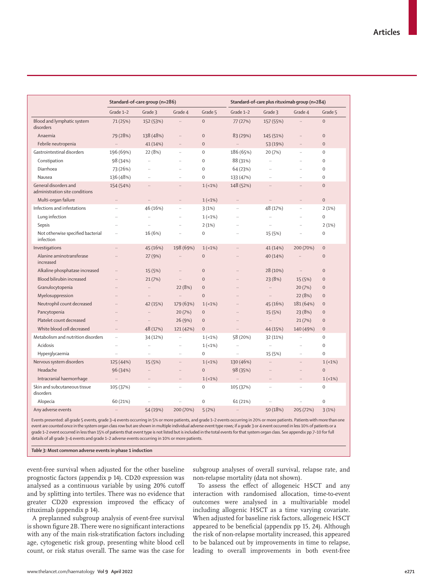|                                                         | Standard-of-care group (n=286) |                      |                      | Standard-of-care plus rituximab group (n=284) |                      |                       |                       |                |
|---------------------------------------------------------|--------------------------------|----------------------|----------------------|-----------------------------------------------|----------------------|-----------------------|-----------------------|----------------|
|                                                         | Grade 1-2                      | Grade 3              | Grade 4              | Grade 5                                       | Grade 1-2            | Grade 3               | Grade 4               | Grade 5        |
| Blood and lymphatic system<br>disorders                 | 71 (25%)                       | 152 (53%)            | $\ldots$             | $\Omega$                                      | 77(27%)              | 157 (55%)             |                       | $\Omega$       |
| Anaemia                                                 | 79 (28%)                       | 138 (48%)            | $\ddotsc$            | $\mathsf{O}\xspace$                           | 83 (29%)             | 145 (51%)             | $\ddotsc$             | $\mathbf 0$    |
| Febrile neutropenia                                     | $\ddotsc$                      | 41 (14%)             | $\ldots$             | $\Omega$                                      | $\ddot{\phantom{a}}$ | 53 (19%)              | $\ldots$              | $\Omega$       |
| Gastrointestinal disorders                              | 196 (69%)                      | 22 (8%)              | $\ldots$             | $\Omega$                                      | 186 (65%)            | 20 (7%)               |                       | $\Omega$       |
| Constipation                                            | 98 (34%)                       | $\ldots$             | $\ddot{\phantom{a}}$ | $\mathbf{O}$                                  | 88 (31%)             | $\ldots$              | $\ddot{\phantom{a}}$  | $\mathbf 0$    |
| Diarrhoea                                               | 73 (26%)                       | $\ddot{\phantom{a}}$ | $\sim$               | $\Omega$                                      | 64 (23%)             | $\ddot{\phantom{a}}$  | $\ddot{\phantom{a}}$  | $\Omega$       |
| Nausea                                                  | 136 (48%)                      |                      | ä,                   | 0                                             | 133 (47%)            | $\ddotsc$             |                       | $\Omega$       |
| General disorders and<br>administration site conditions | 154 (54%)                      | $\ddots$             | $\ddotsc$            | 1(21%)                                        | 148 (52%)            | $\ddotsc$             | $\ddotsc$             | $\Omega$       |
| Multi-organ failure                                     | $\ldots$                       | $\ddotsc$            | $\ddotsc$            | $1(-1%)$                                      | $\ddotsc$            | $\ldots$              | $\ldots$              | $\Omega$       |
| Infections and infestations                             | $\ddotsc$                      | 46 (16%)             | $\ldots$             | 3(1%)                                         | Ц.                   | 48 (17%)              | $\ddotsc$             | 2(1%)          |
| Lung infection                                          | $\ddotsc$                      | $\ddotsc$            | $\ddotsc$            | $1(-1%$                                       | $\ddotsc$            | $\ddot{\phantom{1}}$  | $\ddotsc$             | $\mathbf 0$    |
| Sepsis                                                  |                                | $\ddotsc$            | ÷.                   | 2(1%)                                         | $\ddotsc$            | .,                    |                       | 2(1%)          |
| Not otherwise specified bacterial<br>infection          | $\ddotsc$                      | 16 (6%)              | $\ddot{\phantom{a}}$ | $\mathbf 0$                                   |                      | 15 (5%)               | $\ddotsc$             | $\mathbf 0$    |
| Investigations                                          | $\ddotsc$                      | 45 (16%)             | 198 (69%)            | $1(-1%)$                                      | $\ddotsc$            | 41 (14%)              | 200 (70%)             | $\Omega$       |
| Alanine aminotransferase<br>increased                   | $\ddotsc$                      | 27 (9%)              | $\ddotsc$            | $\mathbf{0}$                                  |                      | 40 (14%)              | τ,                    | $\overline{0}$ |
| Alkaline phosphatase increased                          | $\dddot{\phantom{0}}$          | 15 (5%)              | $\ldots$             | $\Omega$                                      | $\ddot{\phantom{a}}$ | 28 (10%)              | $\ldots$              | $\overline{0}$ |
| Blood bilirubin increased                               | $\ddotsc$                      | 21(7%)               | $\ddot{\phantom{a}}$ | $\Omega$                                      | $\ddotsc$            | 23 (8%)               | 15 (5%)               | $\mathbf{0}$   |
| Granulocytopenia                                        | $\ddotsc$                      | $\ldots$             | 22 (8%)              | $\mathbf{O}$                                  | $\ddotsc$            | $\ldots$              | 20(7%)                | $\overline{0}$ |
| Myelosuppression                                        | $\ddotsc$                      | $\ldots$             | $\mathbb{Z}^2$       | $\Omega$                                      | $\ddot{\phantom{a}}$ | $\ddotsc$             | 22 (8%)               | $\Omega$       |
| Neutrophil count decreased                              | $\ddotsc$                      | 42 (15%)             | 179 (63%)            | $1(1\%)$                                      |                      | 45 (16%)              | 181 (64%)             | $\overline{0}$ |
| Pancytopenia                                            | $\ddot{\phantom{a}}$           | $\ldots$             | 20(7%)               | $\mathbf{O}$                                  | $\ddot{\phantom{a}}$ | 15 (5%)               | 23 (8%)               | $\Omega$       |
| Platelet count decreased                                | $\ddotsc$                      | $\ddotsc$            | 26(9%)               | $\mathbf 0$                                   |                      | $\ldots$              | 21(7%)                | $\mathbf{0}$   |
| White blood cell decreased                              | $\ddotsc$                      | 48 (17%)             | 121 (42%)            | $\mathbf{O}$                                  | $\ddotsc$            | 44 (15%)              | 140 (49%)             | $\overline{0}$ |
| Metabolism and nutrition disorders                      | $\ldots$                       | 34 (12%)             | $\ldots$             | $1(-1%)$                                      | 58 (20%)             | 32 (11%)              |                       | $\mathbf 0$    |
| Acidosis                                                | $\ddotsc$                      | $\ldots$             | $\ldots$             | $1(-1%)$                                      | $\ldots$             | $\ddotsc$             | ÷.                    | $\Omega$       |
| Hyperglycaemia                                          | $\ddotsc$                      | $\ddot{\phantom{a}}$ | $\ddotsc$            | $\Omega$                                      | $\ldots$             | 15 (5%)               | $\ldots$              | $\Omega$       |
| Nervous system disorders                                | 125 (44%)                      | 15 (5%)              | $\ddotsc$            | $1(-1%)$                                      | 130 (46%)            | $\dddot{\phantom{0}}$ | $\ddotsc$             | $1(-1%)$       |
| Headache                                                | 96 (34%)                       | $\ddot{\phantom{a}}$ | $\ddotsc$            | $\Omega$                                      | 98 (35%)             | $\ddotsc$             | $\ddotsc$             | $\mathbf{0}$   |
| Intracranial haemorrhage                                | $\ldots$                       | $\ddotsc$            | $\ddotsc$            | $1(-1%)$                                      | $\ldots$             | $\ddotsc$             | $\dddot{\phantom{0}}$ | $1(-1%)$       |
| Skin and subcutaneous tissue<br>disorders               | 105 (37%)                      | $\ddotsc$            | $\ddotsc$            | $\mathbf{O}$                                  | 105 (37%)            | $\ddotsc$             | $\ddotsc$             | $\Omega$       |
| Alopecia                                                | 60(21%)                        | $\ddot{\phantom{0}}$ | $\ddotsc$            | $\Omega$                                      | 61(21%)              | $\ddotsc$             | $\ddot{\phantom{a}}$  | $\Omega$       |
| Any adverse events                                      | $\ddotsc$                      | 54 (19%)             | 200 (70%)            | 5(2%)                                         | $\ddotsc$            | 50 (18%)              | 205 (72%)             | 3(1%)          |

Events presented: all grade 5 events, grade 3–4 events occurring in 5% or more patients, and grade 1–2 events occurring in 20% or more patients. Patients with more than one event are counted once in the system organ class row but are shown in multiple individual adverse event type rows; if a grade 3 or 4 event occurred in less 10% of patients or a grade 1–2 event occurred in less than 15% of patients that event type is not listed but is included in the total events for that system organ class. See appendix pp 7–10 for full details of all grade 3–4 events and grade 1–2 adverse events occurring in 10% or more patients.

*Table 3:* **Most common adverse events in phase 1 induction**

event-free survival when adjusted for the other baseline prognostic factors (appendix p 14). CD20 expression was analysed as a continuous variable by using 20% cutoff and by splitting into tertiles. There was no evidence that greater CD20 expression improved the efficacy of rituximab (appendix p 14).

A preplanned subgroup analysis of event-free survival is shown figure 2B. There were no significant interactions with any of the main risk-stratification factors including age, cytogenetic risk group, presenting white blood cell count, or risk status overall. The same was the case for subgroup analyses of overall survival, relapse rate, and non-relapse mortality (data not shown).

To assess the effect of allogeneic HSCT and any interaction with randomised allocation, time-to-event outcomes were analysed in a multivariable model including allogenic HSCT as a time varying covariate. When adjusted for baseline risk factors, allogeneic HSCT appeared to be beneficial (appendix pp 15, 24). Although the risk of non-relapse mortality increased, this appeared to be balanced out by improvements in time to relapse, leading to overall improvements in both event-free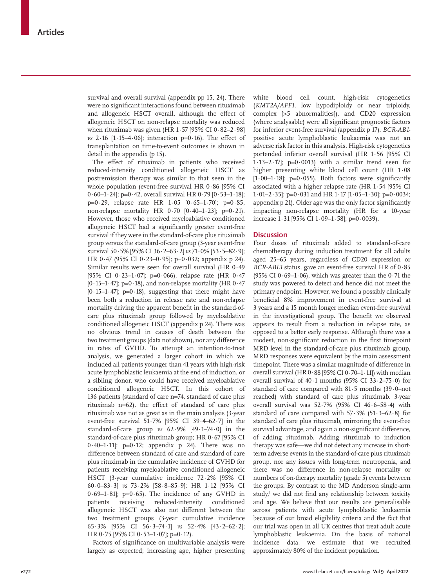survival and overall survival (appendix pp 15, 24). There were no significant interactions found between rituximab and allogeneic HSCT overall, although the effect of allogeneic HSCT on non-relapse mortality was reduced when rituximab was given (HR  $1.57$  [95% CI  $0.82-2.98$ ] *vs* 2·16 [1·15–4·06]; interaction p=0·16). The effect of transplantation on time-to-event outcomes is shown in detail in the appendix (p 15).

The effect of rituximab in patients who received reduced-intensity conditioned allogeneic HSCT as postremission therapy was similar to that seen in the whole population (event-free survival HR 0·86 [95% CI 0·60–1·24]; p=0·42, overall survival HR 0·79 [0·53–1·18];  $p=0.29$ , relapse rate HR 1.05  $[0.65-1.70]$ ;  $p=0.85$ , non-relapse mortality HR  $0.70$   $[0.40 - 1.23]$ ;  $p=0.21$ ). However, those who received myeloablative conditioned allogeneic HSCT had a significantly greater event-free survival if they were in the standard-of-care plus rituximab group versus the standard-of-care group (3-year event-free survival 50·5% [95% CI 36·2–63·2] *vs* 71·0% [53·5–82·9]; HR 0·47 (95% CI 0·23–0·95]; p=0·032; appendix p 24). Similar results were seen for overall survival (HR 0·49 [95% CI 0·23–1·07]; p=0·066), relapse rate (HR 0·47  $[0.15-1.47]$ ; p=0.18), and non-relapse mortality (HR  $0.47$  $[0.15-1.47]$ ; p= $0.18$ ), suggesting that there might have been both a reduction in release rate and non-relapse mortality driving the apparent benefit in the standard-ofcare plus rituximab group followed by myeloablative conditioned allogeneic HSCT (appendix p 24). There was no obvious trend in causes of death between the two treatment groups (data not shown), nor any difference in rates of GVHD. To attempt an intention-to-treat analysis, we generated a larger cohort in which we included all patients younger than 41 years with high-risk acute lymphoblastic leukaemia at the end of induction, or a sibling donor, who could have received myeloablative conditioned allogeneic HSCT. In this cohort of 136 patients (standard of care n=74, standard of care plus rituximab n=62), the effect of standard of care plus rituximab was not as great as in the main analysis (3-year event-free survival 51·7% [95% CI 39·4–62·7] in the standard-of-care group *vs* 62·9% [49·1–74·0] in the standard-of-care plus rituximab group; HR 0·67 [95% CI  $0.40-1.11$ ; p= $0.12$ ; appendix p 24). There was no difference between standard of care and standard of care plus rituximab in the cumulative incidence of GVHD for patients receiving myeloablative conditioned allogeneic HSCT (3-year cumulative incidence 72·2% [95% CI 60·0–83·3] *vs* 73·2% [58·8–85·9]; HR 1·12 [95% CI  $0.69-1.81$ ; p= $0.65$ ). The incidence of any GVHD in patients receiving reduced-intensity conditioned allogeneic HSCT was also not different between the two treatment groups (3-year cumulative incidence 65·3% [95% CI 56·3–74·1] *vs* 52·4% [43·2–62·2]; HR 0·75 [95% CI 0·53–1·07]; p=0·12).

Factors of significance on multivariable analysis were largely as expected; increasing age, higher presenting white blood cell count, high-risk cytogenetics (*KMT2A/AFF1*, low hypodiploidy or near triploidy, complex [>5 abnormalities]), and CD20 expression (where analysable) were all significant prognostic factors for inferior event-free survival (appendix p 17). *BCR-AB1* positive acute lymphoblastic leukaemia was not an adverse risk factor in this analysis. High-risk cytogenetics portended inferior overall survival (HR 1·56 [95% CI 1·13–2·17];  $p=0.0013$ ) with a similar trend seen for higher presenting white blood cell count (HR 1·08  $[1.00-1.18]$ ; p=0.055). Both factors were significantly associated with a higher relapse rate (HR 1·54 [95% CI 1·01–2·35]; p=0·031 and HR 1·17  $[1.05-1.30]$ ; p=0·0034; appendix p 21). Older age was the only factor significantly impacting non-relapse mortality (HR for a 10-year increase 1·31 [95% CI 1·09–1·58]; p=0·0039).

# **Discussion**

Four doses of rituximab added to standard-of-care chemotherapy during induction treatment for all adults aged 25–65 years, regardless of CD20 expression or *BCR-ABL1* status, gave an event-free survival HR of 0·85 (95% CI  $0.69-1.06$ ), which was greater than the  $0.71$  the study was powered to detect and hence did not meet the primary endpoint. However, we found a possibly clinically beneficial 8% improvement in event-free survival at 3 years and a 15 month longer median event-free survival in the investigational group. The benefit we observed appears to result from a reduction in relapse rate, as opposed to a better early response. Although there was a modest, non-significant reduction in the first timepoint MRD level in the standard-of-care plus rituximab group, MRD responses were equivalent by the main assessment timepoint. There was a similar magnitude of difference in overall survival (HR 0·88 [95% CI 0·70–1·11]) with median overall survival of  $40.1$  months (95% CI 33 $\cdot$ 2-75 $\cdot$ 0) for standard of care compared with 81·5 months (39·0–not reached) with standard of care plus rituximab. 3-year overall survival was 52·7% (95% CI 46·6–58·4) with standard of care compared with  $57.3\%$  ( $51.3-62.8$ ) for standard of care plus rituximab, mirroring the event-free survival advantage, and again a non-significant difference, of adding rituximab. Adding rituximab to induction therapy was safe—we did not detect any increase in shortterm adverse events in the standard-of-care plus rituximab group, nor any issues with long-term neutropenia, and there was no difference in non-relapse mortality or numbers of on-therapy mortality (grade 5) events between the groups**.** By contrast to the MD Anderson single-arm study,<sup>1</sup> we did not find any relationship between toxicity and age. We believe that our results are generalisable across patients with acute lymphoblastic leukaemia because of our broad eligibility criteria and the fact that our trial was open in all UK centres that treat adult acute lymphoblastic leukaemia. On the basis of national incidence data, we estimate that we recruited approximately 80% of the incident population.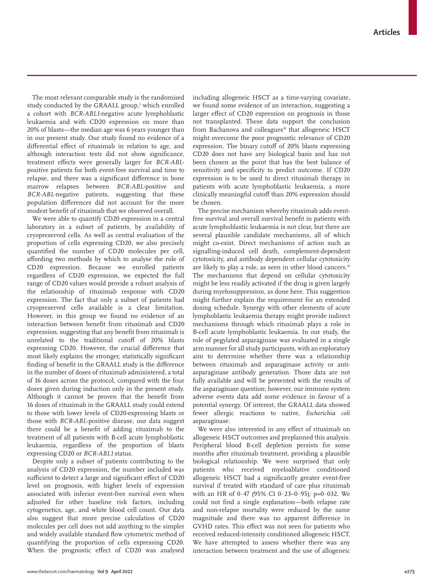The most relevant comparable study is the randomised study conducted by the GRAALL group,<sup>2</sup> which enrolled a cohort with *BCR-ABL1*-negative acute lymphoblastic leukaemia and with CD20 expression on more than 20% of blasts—the median age was 6 years younger than in our present study. Our study found no evidence of a differential effect of rituximab in relation to age, and although interaction tests did not show significance, treatment effects were generally larger for *BCR-ABL*positive patients for both event-free survival and time to relapse, and there was a significant difference in bone marrow relapses between *BCR-ABL*-positive and *BCR-ABL*-negative patients, suggesting that these population differences did not account for the more modest benefit of rituximab that we observed overall.

We were able to quantify CD20 expression in a central laboratory in a subset of patients, by availability of cryopreserved cells. As well as central evaluation of the proportion of cells expressing CD20, we also precisely quantified the number of CD20 molecules per cell, affording two methods by which to analyse the role of CD20 expression. Because we enrolled patients regardless of CD20 expression, we expected the full range of CD20 values would provide a robust analysis of the relationship of rituximab response with CD20 expression. The fact that only a subset of patients had cryopreserved cells available is a clear limitation. However, in this group we found no evidence of an interaction between benefit from rituximab and CD20 expression, suggesting that any benefit from rituximab is unrelated to the traditional cutoff of 20% blasts expressing CD20. However, the crucial difference that most likely explains the stronger, statistically significant finding of benefit in the GRAALL study is the difference in the number of doses of rituximab administered, a total of 16 doses across the protocol, compared with the four doses given during induction only in the present study. Although it cannot be proven that the benefit from 16 doses of rituximab in the GRAALL study could extend to those with lower levels of CD20-expressing blasts or those with *BCR-ABL*-positive disease, our data suggest there could be a benefit of adding rituximab to the treatment of all patients with B-cell acute lymphoblastic leukaemia, regardless of the proportion of blasts expressing CD20 or *BCR-ABL1* status.

Despite only a subset of patients contributing to the analysis of CD20 expression, the number included was sufficient to detect a large and significant effect of CD20 level on prognosis, with higher levels of expression associated with inferior event-free survival even when adjusted for other baseline risk factors, including cytogenetics, age, and white blood cell count. Our data also suggest that more precise calculation of CD20 molecules per cell does not add anything to the simpler and widely available standard flow cytometric method of quantifying the proportion of cells expressing CD20. When the prognostic effect of CD20 was analysed including allogeneic HSCT as a time-varying covariate, we found some evidence of an interaction, suggesting a larger effect of CD20 expression on prognosis in those not transplanted. These data support the conclusion from Bachanova and colleagues<sup>10</sup> that allogeneic HSCT might overcome the poor prognostic relevance of CD20 expression. The binary cutoff of 20% blasts expressing CD20 does not have any biological basis and has not been chosen as the point that has the best balance of sensitivity and specificity to predict outcome. If CD20 expression is to be used to direct rituximab therapy in patients with acute lymphoblastic leukaemia, a more clinically meaningful cutoff than 20% expression should be chosen.

The precise mechanism whereby rituximab adds eventfree survival and overall survival benefit in patients with acute lymphoblastic leukaemia is not clear, but there are several plausible candidate mechanisms, all of which might co-exist. Direct mechanisms of action such as signalling-induced cell death, complement-dependent cytotoxicity, and antibody dependent cellular cytotoxicity are likely to play a role, as seen in other blood cancers.<sup>16</sup> The mechanisms that depend on cellular cytotoxicity might be less readily activated if the drug is given largely during myelosuppression, as done here. This suggestion might further explain the requirement for an extended dosing schedule. Synergy with other elements of acute lymphoblastic leukaemia therapy might provide indirect mechanisms through which rituximab plays a role in B-cell acute lymphoblastic leukaemia. In our study, the role of pegylated asparaginase was evaluated in a single arm manner for all study participants, with an exploratory aim to determine whether there was a relationship between rituximab and asparaginase activity or antiasparaginase antibody generation. Those data are not fully available and will be presented with the results of the asparaginase question; however, our immune system adverse events data add some evidence in favour of a potential synergy. Of interest, the GRAALL data showed fewer allergic reactions to native, *Escherichia coli* asparaginase.

We were also interested in any effect of rituximab on allogeneic HSCT outcomes and preplanned this analysis. Peripheral blood B-cell depletion persists for some months after rituximab treatment, providing a plausible biological relationship. We were surprised that only patients who received myeloablative conditioned allogeneic HSCT had a significantly greater event-free survival if treated with standard of care plus rituximab with an HR of 0·47 (95% CI 0·23–0·95); p=0·032. We could not find a single explanation—both relapse rate and non-relapse mortality were reduced by the same magnitude and there was no apparent difference in GVHD rates. This effect was not seen for patients who received reduced-intensity conditioned allogeneic HSCT. We have attempted to assess whether there was any interaction between treatment and the use of allogeneic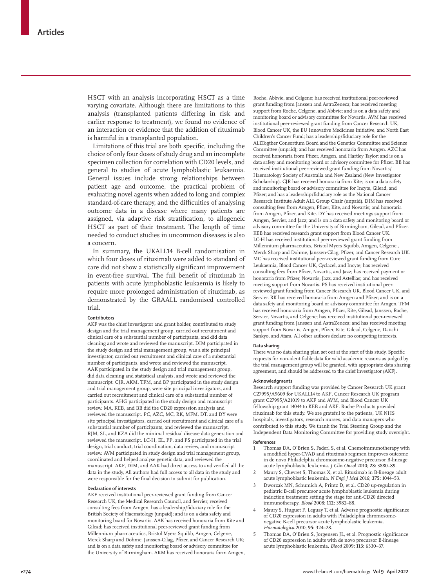HSCT with an analysis incorporating HSCT as a time varying covariate. Although there are limitations to this analysis (transplanted patients differing in risk and earlier response to treatment), we found no evidence of an interaction or evidence that the addition of rituximab is harmful in a transplanted population.

Limitations of this trial are both specific, including the choice of only four doses of study drug and an incomplete specimen collection for correlation with CD20 levels, and general to studies of acute lymphoblastic leukaemia. General issues include strong relationships between patient age and outcome, the practical problem of evaluating novel agents when added to long and complex standard-of-care therapy, and the difficulties of analysing outcome data in a disease where many patients are assigned, via adaptive risk stratification, to allogeneic HSCT as part of their treatment. The length of time needed to conduct studies in uncommon diseases is also a concern.

In summary, the UKALL14 B-cell randomisation in which four doses of rituximab were added to standard of care did not show a statistically significant improvement in event-free survival. The full benefit of rituximab in patients with acute lymphoblastic leukaemia is likely to require more prolonged administration of rituximab, as demonstrated by the GRAALL randomised controlled trial.

#### **Contributors**

AKF was the chief investigator and grant holder, contributed to study design and the trial management group, carried out recruitment and clinical care of a substantial number of participants, and did data cleaning and wrote and reviewed the manuscript. DIM participated in the study design and trial management group, was a site principal investigator, carried out recruitment and clinical care of a substantial number of participants, and wrote and reviewed the manuscript. AAK participated in the study design and trial management group, did data cleaning and statistical analysis, and wrote and reviewed the manuscript. CJR, AKM, TFM, and BP participated in the study design and trial management group, were site principal investigators, and carried out recruitment and clinical care of a substantial number of participants. AHG participated in the study design and manuscript review. MA, KEB, and BB did the CD20 expression analysis and reviewed the manuscript. PC, AZC, MC, RK, MFM, DT, and DY were site principal investigators, carried out recruitment and clinical care of a substantial number of participants, and reviewed the manuscript. RJM, SL, and KZA did the minimal residual disease data generation and reviewed the manuscript. LC-H, EL, PP, and PS participated in the trial design, trial conduct, trial coordination, data review, and manuscript review. AVM participated in study design and trial management group, coordinated and helped analyse genetic data, and reviewed the manuscript. AKF, DIM, and AAK had direct access to and verified all the data in the study, All authors had full access to all data in the study and were responsible for the final decision to submit for publication.

### **Declaration of interests**

AKF received institutional peer-reviewed grant funding from Cancer Research UK, the Medical Research Council, and Servier; received consulting fees from Amgen; has a leadership/fiduciary role for the British Society of Haematology (unpaid); and is on a data safety and monitoring board for Novartis. AAK has received honoraria from Kite and Gilead; has received institutional peer-reviewed grant funding from Millennium pharmaceutics, Bristol Myers Squibb, Amgen, Celgene, Merck Sharp and Dohme, Janssen-Cilag, Pfizer, and Cancer Research UK; and is on a data safety and monitoring board or advisory committee for the University of Birmingham. AKM has received honoraria form Amgen,

Roche, Abbvie, and Celgene; has received institutional peer-reviewed grant funding from Janssen and AstraZeneca; has received meeting support from Roche, Celgene, and Abbvie; and is on a data safety and monitoring board or advisory committee for Novartis. AVM has received institutional peer-reviewed grant funding from Cancer Research UK, Blood Cancer UK, the EU Innovative Medicines Initiative, and North East Children's Cancer Fund; has a leadership/fiduciary role for the ALLTogther Consortium Board and the Genetics Committee and Science Committee (unpaid); and has received honoraria from Amgen. AZC has received honoraria from Pfizer, Amgen, and Hartley Taylor; and is on a data safety and monitoring board or advisory committee for Pfizer. BB has received institutional peer-reviewed grant funding from Novartis/ Haematology Society of Australia and New Zealand (New Investigator Scholarship). CJR has received honoraria from Kite; is on a data safety and monitoring board or advisory committee for Incyte, Gilead, and Pfizer; and has a leadership/fiduciary role as the National Cancer Research Institute Adult ALL Group Chair (unpaid). DIM has received consulting fees from Amgen, Pfizer, Kite, and Novartis; and honoraria from Amgen, Pfizer, and Kite. DY has received meetings support from Amgen, Servier, and Jazz; and is on a data safety and monitoring board or advisory committee for the University of Birmingham, Gilead, and Pfizer. KEB has received research grant support from Blood Cancer UK. LC-H has received institutional peer-reviewed grant funding from Millennium pharmaceutics, Bristol Myers Squibb, Amgen, Celgene., Merck Sharp and Dohme, Janssen-Cilag, Pfizer, and Cancer Research UK. MC has received institutional peer-reviewed grant funding from Cure Leukaemia, Blood Cancer UK, Cyclacel, and Incyte; has received consulting fees from Pfizer, Novartis, and Jazz; has received payment or honoraria from Pfizer, Novartis, Jazz, and Astellias; and has received meeting support from Novartis. PS has received institutional peerreviewed grant funding from Cancer Research UK, Blood Cancer UK, and Servier. RK has received honoraria from Amgen and Pfizer; and is on a data safety and monitoring board or advisory committee for Amgen. TFM has received honoraria from Amgen, Pfizer, Kite, Gilead, Janssen, Roche, Servier, Novartis, and Celgene; has received institutional peer-reviewed grant funding from Janssen and AstraZeneca; and has received meeting support from Novartis, Amgen, Pfizer, Kite, Gilead, Celgene, Daiichi Sankyo, and Atara. All other authors declare no competing interests.

#### **Data sharing**

There was no data sharing plan set out at the start of this study. Specific requests for non-identifiable data for valid academic reasons as judged by the trial management group will be granted, with appropriate data sharing agreement, and should be addressed to the chief investigator (AKF).

#### **Acknowledgments**

Research support funding was provided by Cancer Research UK grant C27995/A9609 for UKALL14 to AKF, Cancer Research UK program grant C27995/A21019 to AKF and AVM, and Blood Cancer UK fellowship grant 14044 to KEB and AKF. Roche Products provided rituximab for this study. We are grateful to the patients, UK NHS hospitals, investigators, research nurses, and data managers who contributed to this study. We thank the Trial Steering Group and the Independent Data Monitoring Committee for providing study oversight.

#### **References**

- 1 Thomas DA, O'Brien S, Faderl S, et al. Chemoimmunotherapy with a modified hyper-CVAD and rituximab regimen improves outcome in de novo Philadelphia chromosome-negative precursor B-lineage acute lymphoblastic leukemia. *J Clin Oncol* 2010; **28:** 3880–89.
- 2 Maury S, Chevret S, Thomas X, et al. Rituximab in B-lineage adult acute lymphoblastic leukemia. *N Engl J Med* 2016; **375:** 1044–53.
- 3 Dworzak MN, Schumich A, Printz D, et al. CD20 up-regulation in pediatric B-cell precursor acute lymphoblastic leukemia during induction treatment: setting the stage for anti-CD20 directed immunotherapy. *Blood* 2008; **112:** 3982–88.
- Maury S, Huguet F, Leguay T, et al. Adverse prognostic significance of CD20 expression in adults with Philadelphia chromosomenegative B-cell precursor acute lymphoblastic leukemia. *Haematologica* 2010; **95:** 324–28.
- 5 Thomas DA, O'Brien S, Jorgensen JL, et al. Prognostic significance of CD20 expression in adults with de novo precursor B-lineage acute lymphoblastic leukemia. *Blood* 2009; **113:** 6330–37.